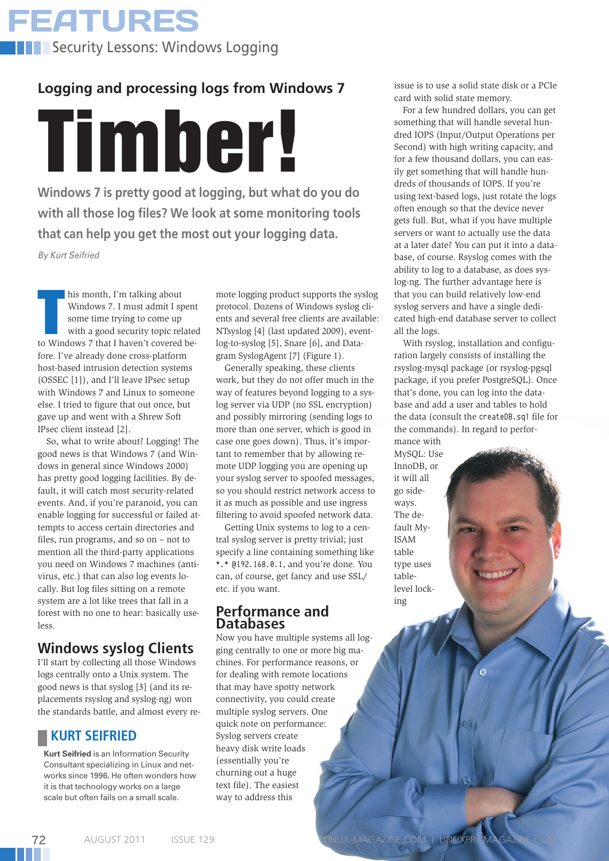**FEATURES Security Lessons: Windows Logging** 

# **Logging and processing logs from Windows 7**

**Windows 7 is pretty good at logging, but what do you do with all those log files? We look at some monitoring tools that can help you get the most out your logging data.** Timber!

*By Kurt Seifried*

his month, I'm talking about<br>Windows 7. I must admit I spent<br>some time trying to come up<br>with a good security topic relate<br>to Windows 7 that I haven't covered behis month, I'm talking about Windows 7. I must admit I spent some time trying to come up with a good security topic related fore. I've already done cross-platform host-based intrusion detection systems (OSSEC [1]), and I'll leave IPsec setup with Windows 7 and Linux to someone else. I tried to figure that out once, but gave up and went with a Shrew Soft IPsec client instead [2].

So, what to write about? Logging! The good news is that Windows 7 (and Windows in general since Windows 2000) has pretty good logging facilities. By default, it will catch most security-related events. And, if you're paranoid, you can enable logging for successful or failed attempts to access certain directories and files, run programs, and so on – not to mention all the third-party applications you need on Windows 7 machines (antivirus, etc.) that can also log events locally. But log files sitting on a remote system are a lot like trees that fall in a forest with no one to hear: basically useless.

## **Windows syslog Clients**

I'll start by collecting all those Windows logs centrally onto a Unix system. The good news is that syslog [3] (and its replacements rsyslog and syslog-ng) won placements isystog and systog-ng) wont<br>the standards battle, and almost every re-

72

**Kurt Seifried** is an Information Security Consultant specializing in Linux and networks since 1996. He often wonders how it is that technology works on a large scale but often fails on a small scale.

mote logging product supports the syslog protocol. Dozens of Windows syslog clients and several free clients are available: NTsyslog [4] (last updated 2009), eventlog-to-syslog [5], Snare [6], and Datagram SyslogAgent [7] (Figure 1).

Generally speaking, these clients work, but they do not offer much in the way of features beyond logging to a syslog server via UDP (no SSL encryption) and possibly mirroring (sending logs to more than one server, which is good in case one goes down). Thus, it's important to remember that by allowing remote UDP logging you are opening up your syslog server to spoofed messages, so you should restrict network access to it as much as possible and use ingress filtering to avoid spoofed network data.

Getting Unix systems to log to a central syslog server is pretty trivial; just specify a line containing something like \*.\* @192.168.0.1, and you're done. You can, of course, get fancy and use SSL/ etc. if you want.

### **Performance and Databases**

Now you have multiple systems all logging centrally to one or more big machines. For performance reasons, or for dealing with remote locations that may have spotty network connectivity, you could create multiple syslog servers. One quick note on performance: Syslog servers create heavy disk write loads (essentially you're churning out a huge text file). The easiest way to address this

issue is to use a solid state disk or a PCIe card with solid state memory.

For a few hundred dollars, you can get something that will handle several hundred IOPS (Input/Output Operations per Second) with high writing capacity, and for a few thousand dollars, you can easily get something that will handle hundreds of thousands of IOPS. If you're using text-based logs, just rotate the logs often enough so that the device never gets full. But, what if you have multiple servers or want to actually use the data at a later date? You can put it into a database, of course. Rsyslog comes with the ability to log to a database, as does syslog-ng. The further advantage here is that you can build relatively low-end syslog servers and have a single dedicated high-end database server to collect all the logs.

With rsyslog, installation and configuration largely consists of installing the rsyslog-mysql package (or rsyslog-pgsql package, if you prefer PostgreSQL). Once that's done, you can log into the database and add a user and tables to hold the data (consult the createDB.sql file for the commands). In regard to performance with

Ġ

MySQL: Use InnoDB, or it will all go sideways. The default My-ISAM table type uses tablelevel locking